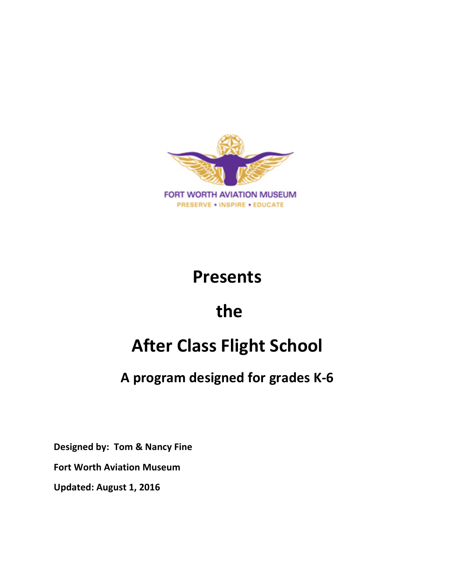

# **Presents**

# **the**

# **After Class Flight School**

# **A program designed for grades K-6**

**Designed by: Tom & Nancy Fine**

**Fort Worth Aviation Museum**

**Updated: August 1, 2016**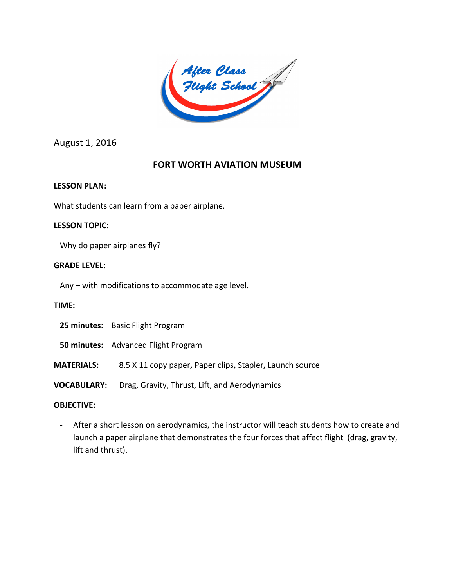After Class<br>Flight School

August 1, 2016

# **FORT WORTH AVIATION MUSEUM**

# **LESSON PLAN:**

What students can learn from a paper airplane.

# **LESSON TOPIC:**

Why do paper airplanes fly?

# **GRADE LEVEL:**

Any – with modifications to accommodate age level.

# **TIME:**

- **50 minutes:** Advanced Flight Program
- **MATERIALS:** 8.5 X 11 copy paper**,** Paper clips**,** Stapler**,** Launch source
- **VOCABULARY:** Drag, Gravity, Thrust, Lift, and Aerodynamics

# **OBJECTIVE:**

- After a short lesson on aerodynamics, the instructor will teach students how to create and launch a paper airplane that demonstrates the four forces that affect flight (drag, gravity, lift and thrust).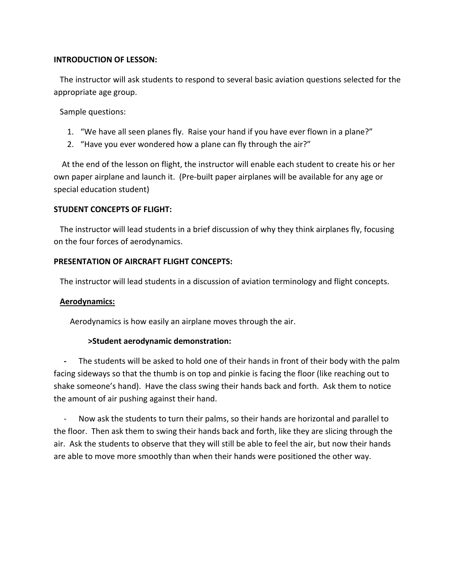#### **INTRODUCTION OF LESSON:**

The instructor will ask students to respond to several basic aviation questions selected for the appropriate age group.

Sample questions:

- 1. "We have all seen planes fly. Raise your hand if you have ever flown in a plane?"
- 2. "Have you ever wondered how a plane can fly through the air?"

 At the end of the lesson on flight, the instructor will enable each student to create his or her own paper airplane and launch it. (Pre-built paper airplanes will be available for any age or special education student)

#### **STUDENT CONCEPTS OF FLIGHT:**

 The instructor will lead students in a brief discussion of why they think airplanes fly, focusing on the four forces of aerodynamics.

#### **PRESENTATION OF AIRCRAFT FLIGHT CONCEPTS:**

The instructor will lead students in a discussion of aviation terminology and flight concepts.

#### **Aerodynamics:**

Aerodynamics is how easily an airplane moves through the air.

#### **>Student aerodynamic demonstration:**

The students will be asked to hold one of their hands in front of their body with the palm facing sideways so that the thumb is on top and pinkie is facing the floor (like reaching out to shake someone's hand). Have the class swing their hands back and forth. Ask them to notice the amount of air pushing against their hand.

Now ask the students to turn their palms, so their hands are horizontal and parallel to the floor. Then ask them to swing their hands back and forth, like they are slicing through the air. Ask the students to observe that they will still be able to feel the air, but now their hands are able to move more smoothly than when their hands were positioned the other way.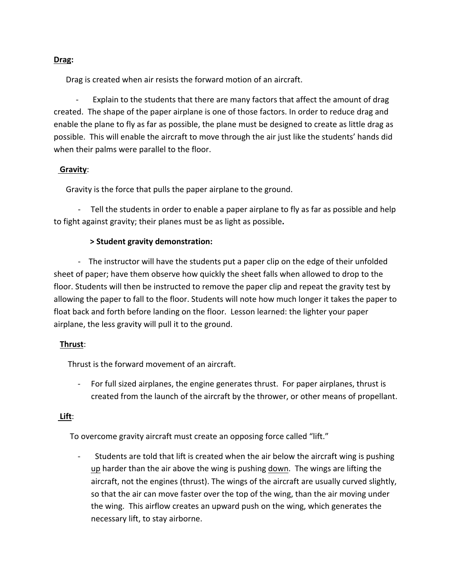# **Drag:**

Drag is created when air resists the forward motion of an aircraft.

 - Explain to the students that there are many factors that affect the amount of drag created. The shape of the paper airplane is one of those factors. In order to reduce drag and enable the plane to fly as far as possible, the plane must be designed to create as little drag as possible. This will enable the aircraft to move through the air just like the students' hands did when their palms were parallel to the floor.

# **Gravity**:

Gravity is the force that pulls the paper airplane to the ground.

 - Tell the students in order to enable a paper airplane to fly as far as possible and help to fight against gravity; their planes must be as light as possible**.**

# **> Student gravity demonstration:**

 - The instructor will have the students put a paper clip on the edge of their unfolded sheet of paper; have them observe how quickly the sheet falls when allowed to drop to the floor. Students will then be instructed to remove the paper clip and repeat the gravity test by allowing the paper to fall to the floor. Students will note how much longer it takes the paper to float back and forth before landing on the floor. Lesson learned: the lighter your paper airplane, the less gravity will pull it to the ground.

#### **Thrust**:

Thrust is the forward movement of an aircraft.

For full sized airplanes, the engine generates thrust. For paper airplanes, thrust is created from the launch of the aircraft by the thrower, or other means of propellant.

# **Lift**:

To overcome gravity aircraft must create an opposing force called "lift."

Students are told that lift is created when the air below the aircraft wing is pushing up harder than the air above the wing is pushing down. The wings are lifting the aircraft, not the engines (thrust). The wings of the aircraft are usually curved slightly, so that the air can move faster over the top of the wing, than the air moving under the wing. This airflow creates an upward push on the wing, which generates the necessary lift, to stay airborne.